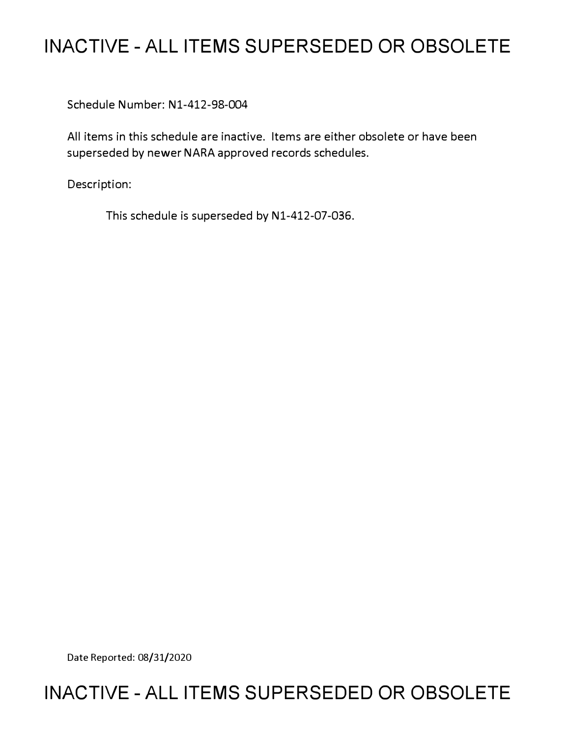# **INACTIVE - ALL ITEMS SUPERSEDED OR OBSOLETE**

Schedule Number: Nl-412-98-004

All items in this schedule are inactive. Items are either obsolete or have been superseded by newer NARA approved records schedules.

Description:

This schedule is superseded by N1-412-07-036.

Date Reported: 08/31/2020

# **INACTIVE - ALL ITEMS SUPERSEDED OR OBSOLETE**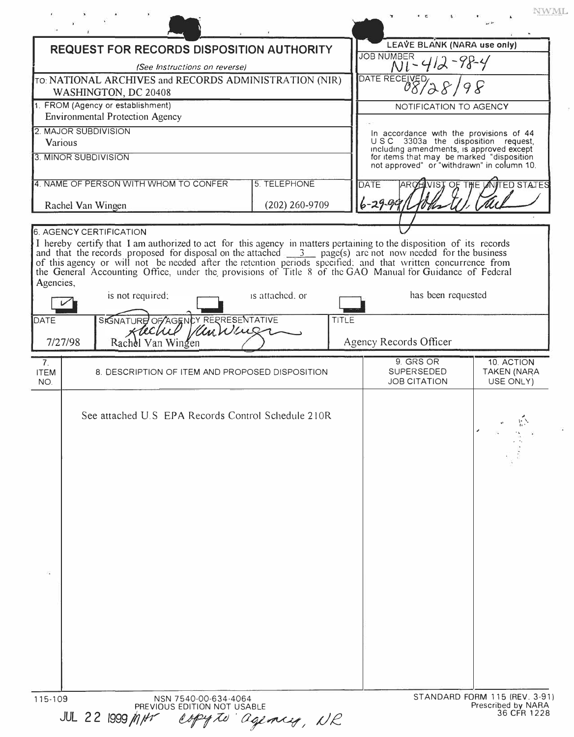| REQUEST FOR RECORDS DISPOSITION AUTHORITY                                                                        |                          | <b>JOB NUMBER</b>                                                             | LEAVE BLANK (NARA use only)                                                                                                         |
|------------------------------------------------------------------------------------------------------------------|--------------------------|-------------------------------------------------------------------------------|-------------------------------------------------------------------------------------------------------------------------------------|
| (See Instructions on reverse)                                                                                    | $N1 - 412 - 98 - 4$      |                                                                               |                                                                                                                                     |
| TO: NATIONAL ARCHIVES and RECORDS ADMINISTRATION (NIR)<br>WASHINGTON, DC 20408                                   | DATE RECEIVED            |                                                                               |                                                                                                                                     |
| 1. FROM (Agency or establishment)                                                                                |                          | NOTIFICATION TO AGENCY                                                        |                                                                                                                                     |
| <b>Environmental Protection Agency</b>                                                                           |                          |                                                                               |                                                                                                                                     |
| 2. MAJOR SUBDIVISION<br>Various                                                                                  |                          | In accordance with the provisions of 44<br>USC 3303a the disposition request, |                                                                                                                                     |
| 3. MINOR SUBDIVISION                                                                                             |                          |                                                                               | including amendments, is approved except<br>for items that may be marked "disposition<br>not approved" or "withdrawn" in column 10. |
| 4. NAME OF PERSON WITH WHOM TO CONFER<br>5. TELEPHONE                                                            |                          | DATE<br><b>AROH VIST OF THE UNITED STATES</b>                                 |                                                                                                                                     |
| Rachel Van Wingen                                                                                                | $(202)$ 260-9709         | $6 - 29 - 99$                                                                 |                                                                                                                                     |
| <b>6. AGENCY CERTIFICATION</b>                                                                                   |                          |                                                                               |                                                                                                                                     |
| is not required:<br>SIGNATURE OF AGENCY REPRESENTATIVE<br>DATE<br>Kachel Kenwens<br>Rachel Van Wingen<br>7/27/98 | is attached, or<br>TITLE | Agency Records Officer                                                        | has been requested                                                                                                                  |
| 7.                                                                                                               |                          | 9. GRS OR                                                                     | 10. ACTION                                                                                                                          |
| <b>ITEM</b><br>8. DESCRIPTION OF ITEM AND PROPOSED DISPOSITION<br>NO.                                            |                          | <b>SUPERSEDED</b><br><b>JOB CITATION</b>                                      | <b>TAKEN (NARA</b><br>USE ONLY)                                                                                                     |
| See attached U.S EPA Records Control Schedule 210R                                                               |                          |                                                                               |                                                                                                                                     |
|                                                                                                                  |                          |                                                                               |                                                                                                                                     |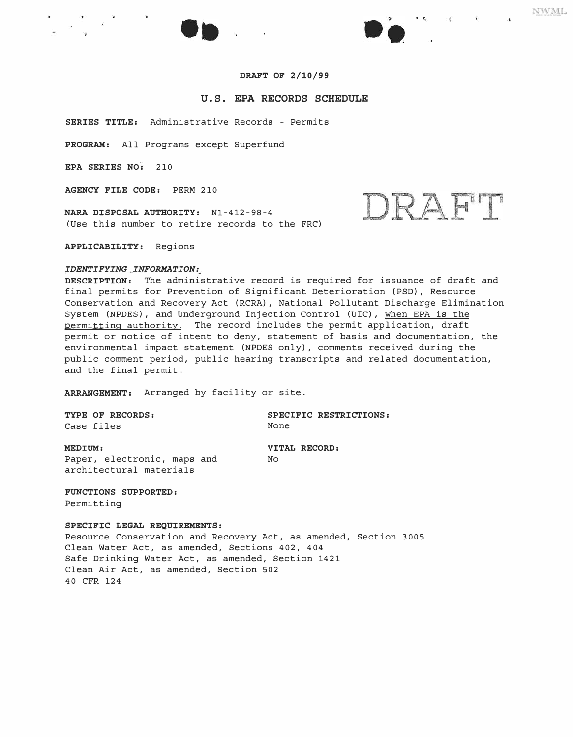



### **U.S. EPA RECORDS SCHEDULE**

**SERIES TITLE:** Administrative Records - Permits

**PROGRAM:** All Programs except Superfund

**EPA SERIES NO:** 210

**AGENCY FILE CODE:** PERM 210

**NARA DISPOSAL AUTHORITY:** Nl-412-98-4 (Use this number to retire records to the FRC)

**APPLICABILITY:** Regions

## *IDENTIFYING INFORMATION:*

**DESCRIPTION:** The administrative record is required for issuance of draft and final permits for Prevention of Significant Deterioration (PSD), Resource Conservation and Recovery Act (RCRA), National Pollutant Discharge Elimination System (NPDES), and Underground Injection Control (UIC), when EPA is the permitting authority. The record includes the permit application, draft permit or notice of intent to deny, statement of basis and documentation, the environmental impact statement (NPDES only), comments received during the public comment period, public hearing transcripts and related documentation, and the final permit.

**ARRANGEMENT:** Arranged by facility or site.

Case files None

**TYPE OF RECORDS: SPECIFIC RESTRICTIONS:** 

**MEDIUM: VITAL RECORD:** Paper, electronic, maps and No architectural materials

#### **FUNCTIONS SUPPORTED:**

Permitting

#### **SPECIFIC LEGAL REQUIREMENTS:**

Resource Conservation and Recovery Act, as amended, Section 3005 Clean Water Act, as amended, Sections 402, 404 Safe Drinking Water Act, as amended, Section 1421 Clean Air Act, as amended, Section 502 40 CFR 124

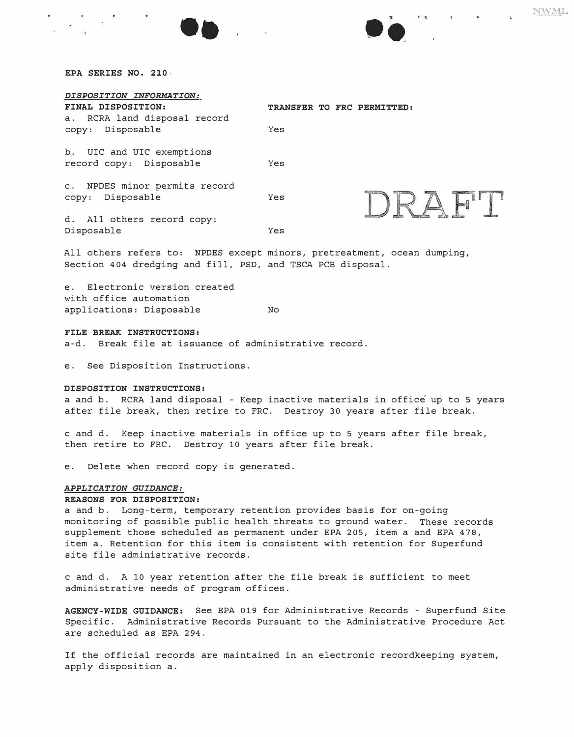| DISPOSITION INFORMATION:<br>FINAL DISPOSITION:       | TRANSFER TO FRC PERMITTED: |  |
|------------------------------------------------------|----------------------------|--|
| a. RCRA land disposal record<br>Disposable<br>CODY:  | Yes                        |  |
| b. UIC and UIC exemptions<br>record copy: Disposable | Yes                        |  |
| c. NPDES minor permits record<br>Disposable<br>CODY: | Yes                        |  |
| d. All others record copy:<br>Disposable             | Yes                        |  |

All others refers to: NPDES except minors, pretreatment, ocean dumping, Section 404 dredging and fill, PSD, and TSCA PCB disposal.

e. Electronic version created with office automation applications: Disposable Mo

#### *FILE BREAK INSTRUCTIONS:*

a-d. Break file at issuance of administrative record.

e. See Disposition Instructions.

#### *DISPOSITION INSTRUCTIONS:*

a and b. RCRA land disposal - Keep inactive materials in office up to 5 years after file break, then retire to FRC. Destroy 30 years after file break.

c and d. Keep inactive materials in office up to 5 years after file break, then retire to FRC. Destroy 10 years after file break.

e. Delete when record copy is generated.

#### *APPLICATION GUIDANCE:*

#### *REASONS FOR DISPOSITION:*

a and b. Long-term, temporary retention provides basis for on-going monitoring of possible public health threats to ground water. These records supplement those scheduled as permanent under EPA 205, item a and EPA 478, item a. Retention for this item is consistent with retention for Superfund site file administrative records.

c and d. A 10 year retention after the file break is sufficient to meet administrative needs of program offices.

*AGENCY-WIDE GUIDANCE:* See EPA 019 for Administrative Records - Superfund Site Specific. Administrative Records Pursuant to the Administrative Procedure Act are scheduled as EPA 294.

If the official records are maintained in an electronic recordkeeping system, apply disposition a.